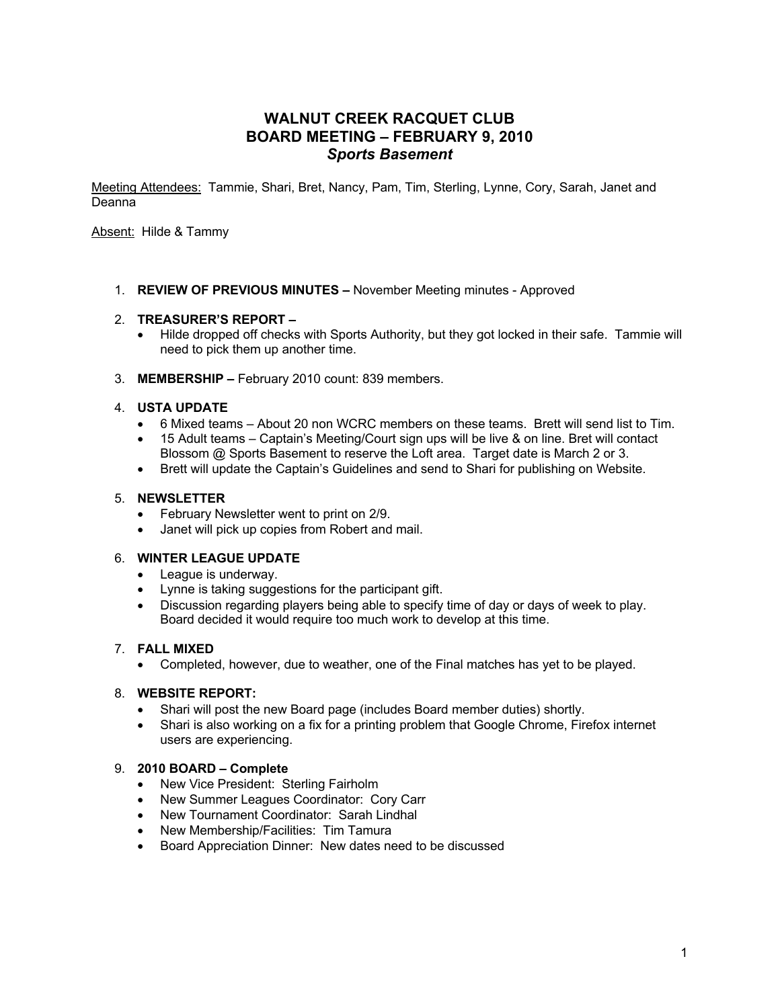# **WALNUT CREEK RACQUET CLUB BOARD MEETING – FEBRUARY 9, 2010** *Sports Basement*

Meeting Attendees: Tammie, Shari, Bret, Nancy, Pam, Tim, Sterling, Lynne, Cory, Sarah, Janet and Deanna

Absent: Hilde & Tammy

1. **REVIEW OF PREVIOUS MINUTES –** November Meeting minutes - Approved

### 2. **TREASURER'S REPORT –**

- Hilde dropped off checks with Sports Authority, but they got locked in their safe. Tammie will need to pick them up another time.
- 3. **MEMBERSHIP –** February 2010 count: 839 members.

### 4. **USTA UPDATE**

- 6 Mixed teams About 20 non WCRC members on these teams. Brett will send list to Tim.
- 15 Adult teams Captain's Meeting/Court sign ups will be live & on line. Bret will contact Blossom @ Sports Basement to reserve the Loft area. Target date is March 2 or 3.
- Brett will update the Captain's Guidelines and send to Shari for publishing on Website.

### 5. **NEWSLETTER**

- February Newsletter went to print on 2/9.
- Janet will pick up copies from Robert and mail.

#### 6. **WINTER LEAGUE UPDATE**

- League is underway.
- Lynne is taking suggestions for the participant gift.
- Discussion regarding players being able to specify time of day or days of week to play. Board decided it would require too much work to develop at this time.

### 7. **FALL MIXED**

• Completed, however, due to weather, one of the Final matches has yet to be played.

### 8. **WEBSITE REPORT:**

- Shari will post the new Board page (includes Board member duties) shortly.
- Shari is also working on a fix for a printing problem that Google Chrome, Firefox internet users are experiencing.

### 9. **2010 BOARD – Complete**

- New Vice President: Sterling Fairholm
- New Summer Leagues Coordinator: Cory Carr
- New Tournament Coordinator: Sarah Lindhal
- New Membership/Facilities: Tim Tamura
- Board Appreciation Dinner: New dates need to be discussed